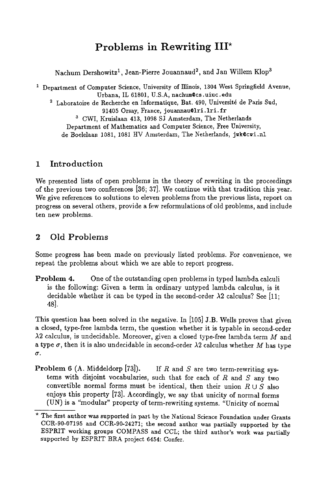# **Problems in Rewriting III\***

Nachum Dershowitz<sup>1</sup>, Jean-Pierre Jouannaud<sup>2</sup>, and Jan Willem Klop<sup>3</sup>

<sup>1</sup> Department of Computer Science, University of Illinois, 1304 West Springfield Avenue, Urbana, IL 61801, U.S.A, nachum@cs.uiuc.edu <sup>2</sup> Laboratoire de Recherche en Informatique, Bat. 490, Université de Paris Sud, 91405 Orsay, France, jouannau@lri.lri.fr a CWI, Kruislaan 413, 1098 SJ Amsterdam, The Netherlands Department of Mathematics and Computer Science, Free University, de Boelelaan 1081, 1081 HV Amsterdam, The Netherlands, juk@cwi.nl

#### 1 Introduction

We presented lists of open problems in the theory of rewriting in the proceedings of the previous two conferences [36; 37]. We continue with that tradition this year. We give references to solutions to eleven problems from the previous lists, report on progress on several others, provide a few reformulations of old problems, and include ten new problems.

## 2 Old Problems

Some progress has been made on previously listed problems. For convenience, we repeat the problems about which we are able to report progress.

Problem 4. One of the outstanding open problems in typed lambda calculi is the following: Given a term in ordinary untyped Iambda calculus, is it decidable whether it can be typed in the second-order  $\lambda$ 2 calculus? See [11; 48].

This question has been solved in the negative. In [105] J.B. Wells proves that given a closed, type-free lambda term, the question whether it is typable in second-order  $\lambda$ 2 calculus, is undecidable. Moreover, given a closed type-free lambda term M and a type  $\sigma$ , then it is also undecidable in second-order  $\lambda$ 2 calculus whether M has type  $\sigma$ .

**Problem 6** (A. Middeldorp [73]). If R and S are two term-rewriting systems with disjoint vocabularies, such that for each of  $R$  and  $S$  any two convertible normal forms must be identical, then their union  $R \cup S$  also enjoys this property [73]. Accordingly, we say that unicity of normal forms (UN) is a "modular" property of term-rewriting systems. "Unicity of normal

<sup>\*</sup> The first author was supported in part by the National Science Foundation under Grants CCR-90-07195 and CCR-90-24271; the second author was partially supported by the ESPRIT working groups COMPASS and *CCL;* the third author's work was partially supported by ESPRIT BRA project 6454: Confer.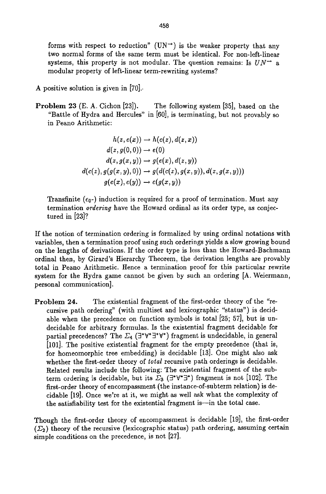forms with respect to reduction" (UN<sup>++</sup>) is the weaker property that any two normal forms of the same term must be identical. For non-left-linear systems, this property is not modular. The question remains: Is  $UN^+$  a modular property of left-linear term-rewriting systems?

A positive solution is given in [70]..

Problem 23 (E. A. Cichon [23]). The following system [35], based on the "Battle of Hydra and Hercules" in [60], is terminating, but not provably so in Peano Arithmetic:

$$
h(z, e(x)) \rightarrow h(c(z), d(z, x))
$$
  
\n
$$
d(z, g(0, 0)) \rightarrow e(0)
$$
  
\n
$$
d(z, g(x, y)) \rightarrow g(e(x), d(z, y))
$$
  
\n
$$
d(c(z), g(g(x, y), 0)) \rightarrow g(d(c(z), g(x, y)), d(z, g(x, y)))
$$
  
\n
$$
g(e(x), e(y)) \rightarrow e(g(x, y))
$$

Transfinite  $(\epsilon_0)$  induction is required for a proof of termination. Must any termination *ordering* have the Howard ordinal as its order type, as conjectured in [23]?

If the notion of termination ordering is formalized by using ordinal notations with variables, then a termination proof using such orderings yields a slow growing bound on the lengths of derivations. If the order type is less than the Howard-Bachmann ordinal then, by Girard's Hierarchy Theorem, the derivation lengths are provably total in Peano Arithmetic. Hence a termination proof for this particular rewrite system for the Hydra game cannot be given by such an ordering  $[A.$  Weiermann, personal communication].

Problem 24. The existential fragment of the first-order theory of the "recursive path ordering" (with multiset and lexicographic "status") is decidable when the precedence on function symbols is total [25; 57], but is undecidable for arbitrary formulas. Is the existential fragment decidable for partial precedences? The  $\Sigma_4$  ( $\exists^*\forall^*\exists^*\forall^*$ ) fragment is undecidable, in general [101]. The positive existential fragment for the empty precedence (that is, for homeomorphic tree embedding) is decidable [13]. One might also ask whether the first-order theory of *total* recursive path orderings is decidable. Related results include the following: The existential fragment of the subterm ordering is decidable, but its  $\Sigma_3$  ( $\exists^*\forall^*\exists^*$ ) fragment is not [102]. The first-order theory of encompassment (the instance-of-subterm relation) is decidable [19]. Once we're at it, we might as well ask what the complexity of the satisfiability test for the existential fragment is--in the total case.

Though the first-order theory of encompassment is decidable [19], the first-order  $(\Sigma_2)$  theory of the recursive (lexicographic status) path ordering, assuming certain simple conditions on the precedence, is not [27].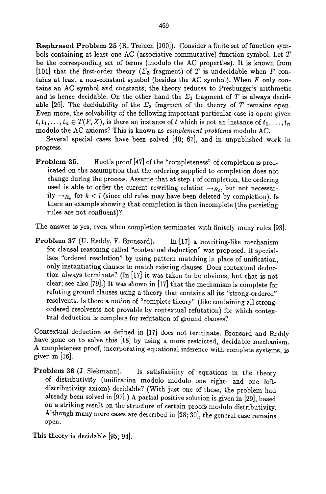Rephrased Problem 25 (R. Treinen [100]). Consider a finite set of function symbols containing at least one AC (associative-commutative) function symbol. Let T be the corresponding set of terms (modulo the AC properties). It is known from [101] that the first-order theory ( $\Sigma_3$  fragment) of T is undecidable when F contains at least a non-constant symbol (besides the AC symbol). When F only contains an AC symbol and constants, the theory reduces to Presburger's arithmetic and is hence decidable. On the other hand the  $\Sigma_1$  fragment of T is always decidable [26]. The decidability of the  $\Sigma_2$  fragment of the theory of T remains open. Even more, the solvability of the following important particular case is open: given  $t, t_1, \ldots, t_n \in T(F, X)$ , is there an instance of t which is not an instance of  $t_1, \ldots, t_n$ modulo the AC axioms? This is known as *complement problems* modulo AC.

Several special cases have been solved [40; 67], and in unpublished work in progress.

Problem 35. Huet's proof [47] of the "completeness" of completion is predicated on the assumption that the ordering supplied to completion does not change during the process. Assume that at step  $i$  of completion, the ordering used is able to order the current rewriting relation  $\rightarrow_{R_i}$ , but not necessarily  $\rightarrow_{R_k}$  for  $k < i$  (since old rules may have been deleted by completion). Is there an example showing that completion is then incomplete (the persisting rules are not confluent)?

The answer is yes, even when completion terminates with finitely many rules [93].

Problem 37 (U. Reddy, F. Bronsard). In [17] a rewriting-like mechanism for clausal reasoning called "contextual deduction" was proposed. It specializes "ordered resolution" by using pattern matching in place of unification, only instantiating clauses to match existing clauses. Does contextual deduction always terminate? (In [17] it was taken to be obvious, but that is not clear; see also [79].) It was shown in [17] that the mechanism is complete for refuting ground clauses using a theory that contains all its "strong-ordered" resolvents. Is there a notion of "complete theory" (like containing all strongordered resolvents not provable by contextual refutation) for which contextual deduction is complete for refutation of ground clauses?

Contextual deduction as defined in [17] does not terminate. Bronsard and Reddy have gone on to solve this [18] by using a more restricted, decidable mechanism. A completeness proof, incorporating equational inference with complete systems, is given in [16].

Problem 38 (J. Siekmann). Is satisfiability of equations in the theory of distributivity (unification modulo modulo one right- and one leftdistributivity axiom) decidable? (With just one of these, the problem had already been solved in [97].) A partial positive solution is given in [29], based on a striking result on the structure of certain proofs modulo distributivity. Although many more cases are described in [28; 30], the general case remains open.

This theory is decidable [95; 94].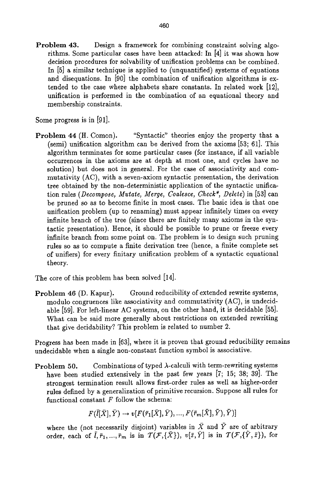Problem 43. Design a framework for combining constraint solving algorithms. Some particular cases have been attacked: In [4] it was shown how decision procedures for solvability of unification problems can be combined. In [5] a similar technique is applied to (unquantified) systems of equations and disequations. In [90] the combination of unification algorithms is extended to the case where alphabets share constants. In related work [12], unification is performed in the combination of an equational theory and membership constraints.

Some progress is in [91].

Problem 44 (H. Comon). "Syntactic" theories enjoy the property that a (semi) unification algorithm can be derived from the axioms [53; 61]. This algorithm terminates for some particular cases (for instance, if all variable occurrences in the axioms are at depth at most one, and cycles have no solution) but does not in general. For the case of associativity and commutativity (AC), with a seven-axiom syntactic presentation, the derivation tree obtained by the non-deterministic application of the syntactic unification rules *(Decompose, Mutate, Merge, Coalesce, Check\*, Delete)* in [53] can be pruned so as to become finite in most cases. The basic idea is that one unification problem (up to renaming) must appear infinitely times on every infinite branch of the tree (since there are finitely many axioms in the syntactic presentation). Hence, it should be possible to prune or freeze every infinite branch from some point on. The problem is to design such pruning rules so as to compute a finite derivation tree (hence, a finite complete set of unifiers) for every finitary unification problem of a syntactic equational theory.

The core of this problem has been solved [14].

Problem 46 (D. Kapur). Ground reducibility of extended rewrite systems, modulo congruences like associativity and commutativity (AC), is undecidable [59]. For left-linear AC systems, on the other hand, it is decidable [55]. What can be said more generally about restrictions on extended rewriting that give decidability? This problem is related to number 2.

Progress has been made in [63], where it is proven that ground reducibility remains undecidable when a single non-constant function symbol is associative.

Problem 50. Combinations of typed  $\lambda$ -calculi with term-rewriting systems have been studied extensively in the past few years [7; 15; 38; 39]. The strongest termination result allows first-order rules as well as higher-order rules defined by a generalization of primitive recursion. Suppose all rules for functional constant  $F$  follow the schema:

 $F(\overline{l}|\overline{X}|, \overline{Y}) \rightarrow v[F(\overline{r}_1|\overline{X}|, \overline{Y}), ..., F(\overline{r}_m|\overline{X}|, \overline{Y}), \overline{Y})]$ 

where the (not necessarily disjoint) variables in  $\tilde{X}$  and  $\tilde{Y}$  are of arbitrary order, each of  $\overline{l}, \overline{r}_1, ..., \overline{r}_m$  is in  $\mathcal{T}(\mathcal{F}, {\{\bar{X}\}}), v[\bar{z}, \bar{Y}]$  is in  $\mathcal{T}(\mathcal{F}, {\{\bar{Y}, \bar{z}\}}),$  for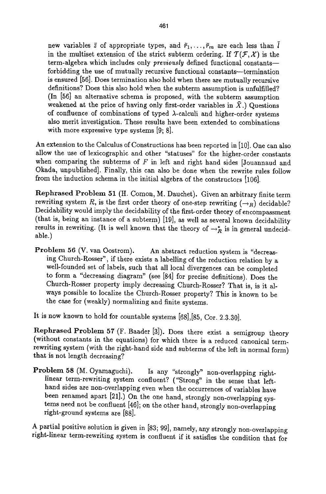new variables  $\bar{z}$  of appropriate types, and  $\bar{r}_1,\ldots,\bar{r}_m$  are each less than  $\bar{l}$ in the multiset extension of the strict subterm ordering. If  $T(F, \mathcal{X})$  is the term-algebra which includes only *previously* defined functional constantsforbidding the use of mutually recursive functional constants--termination is ensured [56]. Does termination also hold when there are mutually recursive definitions? Does this also hold when the subterm assumption is unfulfilled? (In [56] an alternative schema is proposed, with the subterm assumption weakened at the price of having only first-order variables in  $\bar{X}$ .) Questions of confluence of combinations of typed  $\lambda$ -calculi and higher-order systems also merit investigation. These results have been extended to combinations with more expressive type systems [9; 8].

An extension to the Calculus of Constructions has been reported in [10]. One can also allow the use of lexicographic and other "statuses" for the higher-order constants when comparing the subterms of  $F$  in left and right hand sides [Jouannaud and Okada, unpublished]. Finally, this can also be done when the rewrite rules follow from the induction schema in the initial algebra of the constructors [106].

Rephrased Problem 51 (H. Comon, M. Dauchet). Given an arbitrary finite term rewriting system R, is the first order theory of one-step rewriting  $(\rightarrow_R)$  decidable? Decidability would imply the decidability of the first-order theory of encompassment (that is, being an instance of a subterm) [19], as well as several known decidability results in rewriting. (It is well known that the theory of  $\rightarrow_R^*$  is in general undecidable.)

Problem 56 (V. van Oostrom). An abstract reduction system is "decreasing Church-Rosser", if there exists a labelling of the reduction relation by a well-founded set of labels, such that all local divergences can be completed to form a "decreasing diagram" (see [84] for precise definitions). Does the Church-Rosser property imply decreasing Church-Rosser? That is, is it always possible to localize the Church-Rosser property? This is known to be the case for (weakly) normalizing and finite systems.

It is now known to hold for countable systems [68],[85, Cor. 2.3.30].

Rephrased Problem 57 (F. Bander [3]). Does there exist a semigroup theory (without constants in the equations) for which there is a reduced canonical termrewriting system (with the right-hand side and subterms of the left in normal form) that is not length decreasing?

Problem 58 (M. Oyamaguchi). Is any "strongly" non-overlapping rightlinear term-rewriting system confluent? ("Strong" in the sense that lefthand sides are non-overlapping even when the occurrences of variables have been renamed apart [21].) On the one hand, strongly non-overlapping systems need not be confluent [46]; on the other hand, strongly non-overlapping right-ground systems are [88].

A partial positive solution is given in [83; 99], namely, any strongly non-overlapping right-linear term-rewriting system is confluent if it satisfies the condition that for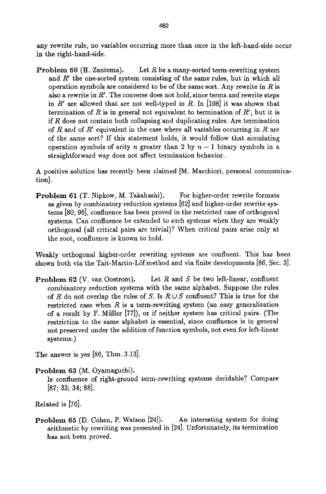any rewrite rule, no variables occurring more than once in the left-hand-side occur in the right-hand-side.

**Problem 60** (H. Zantema). Let R be a many-sorted term-rewriting system and  $R'$  the one-sorted system consisting of the same rules, but in which all operation symbols are considered to be of the same sort. Any rewrite in  $R$  is also a rewrite in  $R'$ . The converse does not hold, since terms and rewrite steps in  $R'$  are allowed that are not well-typed in R. In [108] it was shown that termination of R is in general not equivalent to termination of  $R'$ , but it is if  $R$  does not contain both collapsing and duplicating rules. Are termination of R and of R' equivalent in the case where all variables occurring in R are of the same sort? If this statement holds, it would follow that simulating operation symbols of arity n greater than 2 by  $n-1$  binary symbols in a straightforward way does not affect termination behavior.

A positive solution has recently been claimed [M. Marchiori, personal communication].

Problem 61 (T. Nipkow, M. Takahashi). For higher-order rewrite formats as given by combinatory reduction systems [62] and higher-order rewrite systems [80; 96], confluence has been proved in the restricted case of orthogonal systems. Can confluence be extended to such systems when they are weakly orthogonal (all critical pairs are trivial)? When critical pairs arise only at the root, confluence is known to hold.

Weakly orthogonal higher-order rewriting systems are confluent. This has been shown both via the Tait-Martin-Löf method and via finite developments [86, Sec. 3].

**Problem 62** (V. van Oostrom). Let  $R$  and  $S$  be two left-linear, confluent combinatory reduction systems with the same alphabet. Suppose the rules of R do not overlap the rules of S. Is  $R \cup S$  confluent? This is true for the restricted case when  $R$  is a term-rewriting system (an easy generalization of a result by F. Miiller [77]), or if neither system has critical pairs. (The restriction to the same alphabet is essential, since confluence is in general not preserved under the addition of function symbols, not even for left-linear systems.)

The answer is yes [86, Thm. 3.13].

Problem 63 (M. Oyamaguchi).

Is confluence of right-ground term-rewriting systems decidable? Compare [87; 33; 34; 88].

Related is [76].

Problem 65 (D. Cohen, P. Watson [24]). An interesting system for doing arithmetic by rewriting was presented in [24]. Unfortunately, its termination has not been proved.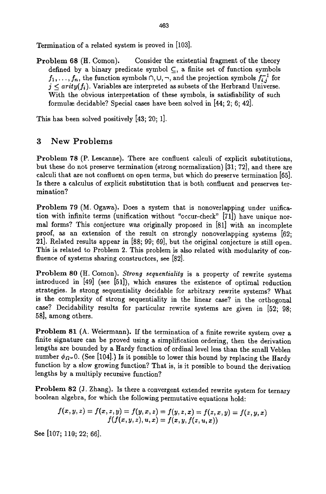Termination of a related system is proved in [103].

Problem 68 (H. Comon). Consider the existential fragment of the theory defined by a binary predicate symbol  $\subseteq$ , a finite set of function symbols  $f_1,\ldots,f_n$ , the function symbols  $\cap$ ,  $\cup$ ,  $\neg$ , and the projection symbols  $f_{i,j}^{-1}$  for  $j <$  *arity*( $f_i$ ). Variables are interpreted as subsets of the Herbrand Universe. With the obvious interpretation of these symbols, is satisfiability of such formulæ decidable? Special cases have been solved in [44; 2; 6; 42].

This has been solved positively [43; 20; 1].

#### 3 New Problems

Problem 78 (P. Lescanne). There are confluent calculi of explicit substitutions, but these do not preserve termination (strong normalization) [31; 72], and there are calculi that are not confluent on open terms, but which do preserve termination [65]. Is there a calculus of explicit substitution that is both confluent and preserves termination?

Problem 79 (M. Ogawa). Does a system that is nonoverlapping under unification with infinite terms (unification without "occur-check" [71]) have unique normal forms? This conjecture was originally proposed in [81] with an incomplete proof, as an extension of the result on strongly nonoverlapping systems [62; 21]. Related results appear in [88; 99; 69], but the original conjecture is still open. This is related to Problem 2. This problem is also related with modularity of confluence of systems sharing constructors, see [82].

Problem 80 (H. Comon). *Strong sequentiality* is a property of rewrite systems introduced in [49] (see [51]), which ensures the existence of optimal reduction strategies. Is strong sequentiality decidable for arbitrary rewrite systems? What is the complexity of strong sequentiality in the linear case? in the orthogonal case? Decidability results for particular rewrite systems are given in [52; 98; 58], among others.

Problem 81 (A. Weiermann). If the termination of a finite rewrite system over a finite signature can be proved using a simplification ordering, then the derivation lengths are bounded by a Hardy function of ordinal level less than the small Veblen number  $\phi_{\Omega}$ . (See [104].) Is it possible to lower this bound by replacing the Hardy function by a slow growing function? That is, is it possible to bound the derivation lengths by a multiply recursive function?

Problem 82 (J. Zhang). Is there a convergent extended rewrite system for ternary boolean algebra, for which the following permutative equations hold:

$$
f(x, y, z) = f(x, z, y) = f(y, x, z) = f(y, z, x) = f(z, x, y) = f(z, y, x) f(f(x, y, z), u, x) = f(x, y, f(z, u, x))
$$

See [107; 110; 22; 66].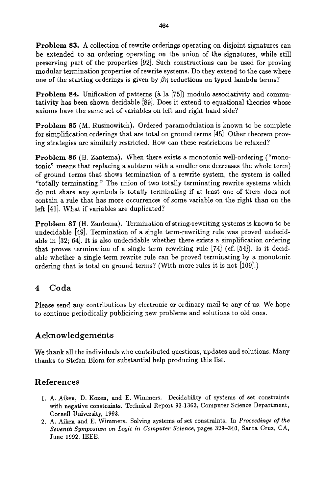Problem 83. A collection of rewrite orderings operating on disjoint signatures can be extended to an ordering operating on the union of the signatures, while still preserving part of the properties [92]. Such constructions can be used for proving modular termination properties of rewrite systems. Do they extend to the case where one of the starting orderings is given by  $\beta\eta$  reductions on typed lambda terms?

**Problem 84.** Unification of patterns ( $\lambda$  la [75]) modulo associativity and commutativity has been shown decidable [89]. Does it extend to equational theories whose axioms have the same set of variables on left and right hand side?

Problem 85 (M. Rusinowitch). Ordered paramodulation is known to be complete for simplification orderings that are total on ground terms [45]. Other theorem proving strategies are similarly restricted. How can these restrictions be relaxed?

Problem 86 (H. Zantema). When there exists a monotonic well-ordering ("monotonic" means that replacing a subterm with a smaller one decreases the whole term) of ground terms that shows termination of a rewrite system, the system is called "totally terminating." The union of two totally terminating rewrite systems which do not share any symbols is totally terminating if at least one of them does not contain a rule that has more occurrences of some variable on the right than on the left [41]. What if variables are duplicated?

Problem 87 (H. Zantema). Termination of string-rewriting systems is known to be undecidable [49]. Termination of a single term-rewriting rule was proved undecidable in [32; 64]. It is also undecidable whether there exists a simplification ordering that proves termination of a single term rewriting rule [74] (cf. [54]). Is it decidable whether a single term rewrite rule can be proved terminating by a monotonic ordering that is total on ground terms? (With more rules it is not [109].)

## 4 Coda

Please send any contributions by electronic or ordinary mail to any of us. We hope to continue periodically publicizing new problems and solutions to old ones.

## Acknowledgements

We thank all the individuals who contributed questions, updates and solutions. Many thanks to Stefan Blom for substantial help producing this list.

## References

- 1. A. Aiken, D. Kozen, and E. Wimmers. Decidability of systems of set constraints with negative constraints. Technical Report 93-1362, Computer Science Department, Cornell University, 1993.
- 2. A. Aiken and E. Wimmers. Solving systems of set constraints. In *Proceedings of the Seventh Symposium on Logic in Computer Science,* pages 329-340, Santa Cruz, CA, June 1992. IEEE.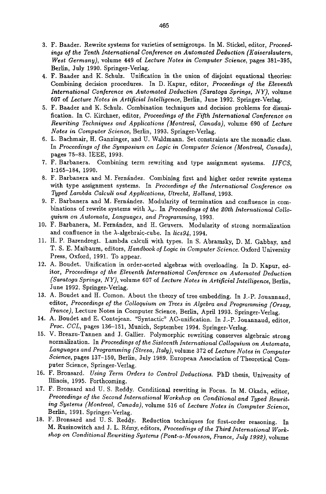- 3. F. Bander. Rewrite systems for varieties of semigroups. In M. Stickel, editor, *Proceedings of the Tenth International Conference on Automated Deduction (Kaiserslautern, West Germany),* volume 449 of *Lecture Notes in Computer Science,* pages 381-395, Berlin, July 1990. Springer-Verlag.
- 4. F. Bander and K. Schulz. Unification in the union of disjoint equational theories: Combining decision procedures. In D. Kapur, editor, *Proceedings of the Eleventh International Conference on Automated Deduction (Saratoga Springs, NY),* volume 607 of *Lecture Notes in Artificial Intelligence,* Berlin, June 1992. Springer-Verlag.
- 5. F. Bander and K. Schulz. Combination techniques and decision problems for disunification. In C. Kirchner, editor, *Proceedings of the Fifth International Conference on Rewriting Techniques and Applications (Montreal, Canada),* volume 690 of *Lecture Notes in Computer Science,* Berlin, 1993. Springer-Verlag.
- 6. L. Bachmair, H. Ganzinger, and U. Waldmann. Set constraints are the monadic class. In *Proceedings of the Symposium on Logic in Computer Science (Montreal, Canada),*  pages 75-83. IEEE, 1993.
- 7. F. Barbanera. Combining term rewriting and type assignment systems. *IJFCS,*  1:165-184, 1990.
- 8. F. Barbanera and M. Fernández. Combining first and higher order rewrite systems with type assignment systems. In *Proceedings of the International Conference on Typed Lambda Calculi and Applications, Utrecht, Holland,* 1993.
- 9. F. Barbanera and M. Fernández. Modularity of termination and confluence in combinations of rewrite systems with  $\lambda_{\omega}$ . In *Proceedings of the 20th International Colloquium on Automata, Languages, and Programming,* 1993.
- 10. F. Barbanera, M. Fernández, and H. Geuvers. Modularity of strong normalization and confluence in the A-algebraic-cube. In *lics94,* 1994.
- 11. H. P. Barendregt. Lambda calculi with types. In S. Abramsky, D. M. Gabbay, and T. S. E. Maibaum, editors, *Handbook of Logic in Computer Science.* Oxford University Press, Oxford, 1991. To appear.
- 12. A. Boudet. Unification in order-sorted algebras with overloading. In D. Kaput, editor, *Proceedings of the Eleventh International Conference on Automated Deduction (Saratoga Springs, NY),* volume 607 of *Lecture Notes in Artificial Intelligence,* Berlin, June 1992. Springer-Verlag.
- 13. A. Boudet and H. Comon. About the theory of tree embedding. In J.-P. Jouannaud, editor, *Proceedings of the Colloquium on Trees in Algebra and Programming (Orsay, France),* Lecture Notes in Computer Science, Berlin, April 1993. Springer-Verlag.
- 14. A. Boudet and E. Contejean. "Syntactic" AC-unification. In J.-P. 3ouannaud, editor, Proc. CCL, pages 136-151, Munich, September 1994. Springer-Verlag.
- 15. V. Breazu-Tannen and 3. Gallier. Polymorphic rewriting conserves algebraic strong normalization. In *Proceedings of the Sixteenth International Colloquium on Automata, Languages and Programming (Stresa, Italy),* volume 372 of *Lecture Notes in Computer Science,* pages 137-150, Berlin, July 1989. European Association of Theoretical Computer Science, Springer-Verlag.
- 16. F. Bronsard. *Using Term Orders to Control Deductions.* PhD thesis, University of Illinois, 1995. Forthcoming.
- 17. F. Bronsard and U. S. Reddy. Conditional rewriting in Focus. In M. Okada, editor, *Proceedings of the Second International Workshop on Conditional and Typed Rewriting Systems (Montreal, Canada),* volume 516 of *Lecture Notes in Computer Science,*  Berlin, 1991. Springer-Verlag.
- 18. F. Bronsard and U. S. Reddy. Reduction techniques for first-order reasoning. In M. Rusinowitch and J. L. Rémy, editors, Proceedings of the Third International Work*shop on Conditional Rewriting Systems (Pont-a-Mousson, France, July 1992),* volume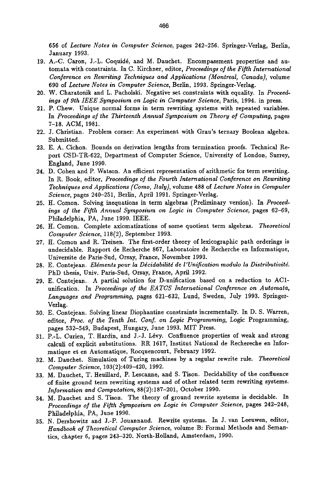656 of *Lecture Notes in Computer Science,* pages 242-256. Springer-Verlag, Berlin, January 1993.

- 19. A.-C. Caron, J.-L. Coquid6, and M. Danchet. Encompassment properties and automata with constraints. In C. Kirchner, editor, *Proceedings of the Fifth International Conference on Rewriting Techniques and Applications (Montreal, Canada),* volume 690 of *Lecture Notes in Computer Science,* Berlin, 1993. Springer-Verlag.
- 20. W. Charatonik and L. Pacholski. Negative set constraints with equality. In *Proceed*ings of 9th IEEE Symposium on Logic in Computer Science, Paris, 1994. in press.
- 21. P. Chew. Unique normal forms in term rewriting systems with repeated variables. In *Proceedings of the Thirteenth Annual Symposium on Theory of Computing, pages* 7-18. ACM, 1981.
- 22. J. Christian. Problem corner: An experiment with Grau's ternary Boolean algebra. Submitted.
- 23. E. A. Cichon. Bounds on derivation lengths from termination proofs. Technical Report CSD-TR-622, Department of Computer Science, University of London, Surrey, England, June 1990.
- 24. D. Cohen and P. Watson. An efficient representation of arithmetic for term rewriting. In R. Book, editor, *Proceedings of the Fourth International Conference on Rewriting Techniques and Applications (Como, Italy),* volume 488 of *Lecture Notes in Computer Science,* pages 240-251, Berlin, April 1991. Springer-Verlag.
- 25. It. Comon. Solving ineqnations in term algebras (Preliminary version). In *Proceed*ings of the Fifth Annual Symposium on Logic in Computer Science, pages 62-69, Philadelphia, PA, June 1990. IEEE.
- 26. H. Comon. Complete axiomatizations of some quotient term algebras. *Theoretical Computer Science,* 118(2), September 1993.
- 27. H. Comon and R. Treinen. The first-order theory of lexicographic path orderings is undecidable. Rapport de Recherche 867, Laboratoire de Recherche en Informatique, Universite de Paris-Sud, Orsay, France, November 1993.
- 28. E. Contejean. *Elgments pour la Dgcidabilitg de l'Unification modulo la Distributivitd.*  PhD thesis, Univ. Paris-Sud, Orsay, France, April 1992.
- 29. E. Contejean. A partial solution for D-unification based on a reduction to AC1 unification. In *Proceedings of the EATCS International Conference on Automata, Languages and Programming,* pages 621-632, Lund, Sweden, July 1993. Springer-Verlag.
- 30. E. Contejean. Solving linear Diophantine constraints incrementally. In D. S. Warren, editor, *Proc. of the Tenth Int. Conf. on Logic Programming,* Logic Programming, pages 532-549, Budapest, Hungary, June 1993. MIT Press.
- 31. P.-L. Curien, T. Hardin, and J.-J. Lévy. Confluence properties of weak and strong calculi of explicit substitutions. RR 1617, Institnt National de Rechereche en Informatique et en Automatique, Rocquencourt, February 1992.
- 32. M. Dauchet. Simulation of Turing machines by a regular rewrite rule. *Theoretical Computer Science,* 103(2):409-420, *1992.*
- 33. M. Dauchet, T. Heuillard, P. Lescanne, and S. Tison. Decidability of the confluence of finite ground term rewriting systems and of other related term rewriting systems. *Information and Computation,* 88(2):187-201, October 1990.
- 34. M. Dauchet and S. Tison. The theory of ground rewrite systems is decidable. In *Proceedings of the Fifth Symposium on Logic in Computer Science,* pages 242-248, Philadelphia, PA, June 1990.
- 35. N. Dershowitz and J.-P. Jouannaud. Rewrite systems. In J. van Leeuwen, editor, *Handbook of Theoretical Computer Science,* volume B: Formal Methods and Semantics, chapter 6, pages 243-320. North-Holland, Amsterdam, *1990.*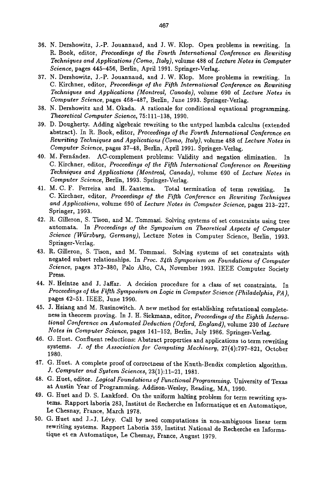- 36. N. Dershowitz, J.-P. Jouannaud, and J. W. Klop. Open problems in rewriting. In R. Book, editor, *Proceedings of the Fourth International Conference on Rewriting Techniques and Applications (Como, Italy),* volume 488 of *Lecture Notes in Computer Science,* pages 445-456, Berlin, April 1991. Spriager-Verlag.
- 37. N. Dershowitz, J.-P. 5ouannand, and J. W. Klop. More problems in rewriting. In C. Kirchner, editor, *Proceedings of the Fifth International Conference on Rewriting Techniques and Applications (Montreal, Canada),* volume 690 of *Lecture Notes in Computer Science,* pages 468-487, Berlin, June 1993. Springer-Verlag.
- 38. N. Dershowitz and M. Okada. A rationale for conditional equational programming. *Theoretical Computer Science,* 75:111-138, 1990.
- 39. D. Dougherty. Adding algebraic rewriting to the untyped lambda calculus (extended abstract). In R. Book, editor, *Proceedings of the Fourth International Conference on Rewriting Techniques and Applications (Como, Italy),* volume 488 of *Lecture Notes in*  Computer Science, pages 37-48, Berlin, April 1991. Springer-Verlag.
- 40. M. Fernández. AC-complement problems: Validity and negation elimination. In C. Kirchner, editor, *Proceedings of the Fifth International Conference on Rewriting Techniques and Applications (Montreal, Canada),* volume 690 of *Lecture Notes in Computer Science,* Berlin, 1993. Springer-Verlag.
- 41. M. C. F. Ferreira and H. Zantema. Total termination of term rewriting. C. Kirchner, editor, *Proceedings of the Fifth Conference on Rewriting Techniques and Applications,* volume 690 of *Lecture Notes in Computer Science,* pages 213-227. Springer, 1993.
- 42. R. Gflleron, S. Tison, and M. Tommasi. Solving systems of set constraints using tree automata. In *Proceedings of the Symposium on Theoretical Aspects of Computer Science (Wiirzburg, Germany),* Lecture Notes in Computer Science, Berlin, 1993. Springer-Verlag.
- 43. R. Gilleron, S. Tison, and M. Tommasi. Solving systems of set constraints with negated subset relationships. In *Proc. 34th Symposium on Foundations of Computer Science,* pages 372-380, Palo Alto, CA, November 1993. IEEE Computer Society Press.
- 44. N. Heintze and J. Jaffar. A decision procedure for a class of set constraints. In *Proceedings of the Fifth Symposium on Logic in Computer Science (Philadelphia, PA ),*  pages 42-51. IEEE, June 1990.
- 45. J. Hsiang and M. Rusinowitch. A new method for establishing refutational completeness in theorem proving. In J. H. Siekmann, editor, *Proceedings of the Eighth International Conference on Automated Deduction (Oxford, England),* volume 230 of *Lecture Notes in Computer Science,* pages 141-152, Berlin, July 1986. Springer-Verlag.
- 46. G. Huet. Confluent reductions: Abstract properties and applications to term rewriting systems. *J. of the Association for Computing Machinery,* 27(4):797-821, October 1980.
- 47. G. Huet. A complete proof of correctness of the Knuth-Bendix completion algorithm. *J. Computer and System Sciences,* 23(1):11-21, 1981.
- 48. G. tiuet, editor. *Logical Foundations of Functional Programming.* University of Texas at Austin Year of Programming. Addison-Wesley, Reading, MA, 1990.
- 49. G. Huet and D. S. Lankford. On the uniform halting problem for term rewriting systems. Rapport laboria 283, Institut de Recherche en Informatique et en Automatique, Le Chesnay, France, March 1978.
- 50. G. Huet and J.-J. Lévy. Call by need computations in non-ambiguous linear term rewriting systems. Rapport Laboria 359, Institut National de Recherche en Informatique et en Automatique, Le Chesnay, France, August 1979.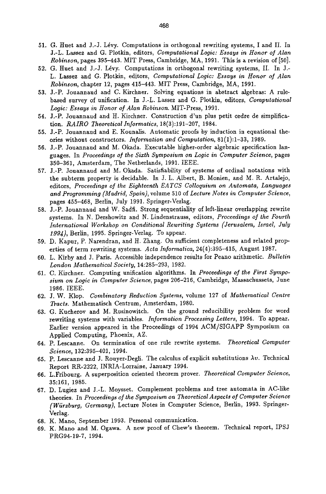- 51. G. Huet and J.-J. Lévy. Computations in orthogonal rewriting systems, I and II. In J.-L. Lassez and G. Plotkin, editors, *Computational Logic: Essays in Honor of Alan Robinson,* pages 395-443. MIT Press, Cambridge, MA, 1991. This is a revision of [50].
- 52. G. Huet and J.-J. Lévy. Computations in orthogonal rewriting systems, II. In J.-L. Lassez and G. Plotkin, editors, *Computational Logic: Essays in Honor of Alan Robinson,* chapter 12, pages 415-443. MIT Press, Cambridge, MA, 1991.
- 53. J.-P. Jouannaud and C. Kirchner. Solving equations in abstract algebras: A rulebased survey of unification. In J.-L. Lassez and G. Plotkln, editors, *Computational Logic: Essays in Honor of Alan Robinson.* MIT-Press, 1991.
- 54. J.-P. Jouannaud and It. Kirchner. Construction d'un plus petit ordre de simplification. *RAIRO Theoretical Informatics,* 18(3):191-207, 1984.
- 55. J.-P. Jouannaud and E. Kounalis. Automatic proofs by induction in equational theories without constructors. *Information and Computation,* 81(1):1-33, 1989.
- 56. J.-P. Jouannaud and M. Okada. Executable higher-order algebraic specification languages. In *Proceedings of the Sixth Symposium on Logic in Computer Science,* pages 350-361, Amsterdam, The Netherlands, 1991. IEEE.
- 57. J.-P. Jouannaud and M. Okada. Satisflability of systems of ordinal notations with the subterm property is decidable. In J. L. Albert, B. Monien, and M. R. Artalejo, editors, *Proceedings of the Eighteenth EATCS Colloquium on Automata, Languages and Programming (Madrid, Spain),* volume 510 of *Lecture Notes in Computer Science,*  pages 455-468, Berlin, July 1991. Springer-Verlag.
- 58. J.-P. Jouannaud and W. Sadfi. Strong sequentiality of left-hnear overlapping rewrite systems. In N. Dershowitz and N. Lindenstrauss, editors, *Proceedings of the Fourth International Workshop on Conditional Rewriting Systems (Jerusalem, Israel, July*  1994), Berlin, 1995. Springer-Verlag. To appear.
- 59. D. Kapur, P. Narendran, and H. Zhang. On sufficient completeness and related properties of term rewriting systems. *Acta Informatica,* 24(4):395-415, August 1987.
- 60. L. Kirby and J. Paris. Accessible independence results for Peano arithmetic. *Bulletin London Mathematical Society,* 14:285-293, 1982.
- 61. C. Kirchner. Computing unification algorithms. In *Proceedings of the First Symposium on Logic in Computer Science,* pages 206-216, Cambridge, Massachussets, June 1986. IEEE.
- 62; J.W. Klop. *Combinatory Reduction Systems,* volume 127 of *Mathematical Centre Tracts.* Mathematisch Centrum, Amsterdam, 1980.
- 63. G. Kucherov and M. Rusinowitch. On the ground reducibility problem for word rewriting systems with variables. *Information Processing Letters,* 1994. To appear. Earlier version appeared in the Proceedings of 1994 ACM/SIGAPP Symposium on Apphed Computing, Phoenix, AZ.
- 64. P. Lescanne. On termination of one rule rewrite systems. *Theoretical Computer Science,* 132:395-401, 1994.
- 65. P. Lescanne and J. Rouyer-Degli. The calculus of explicit substitutions  $\lambda v$ . Technical Report RR-2222, INRIA-Lorraine, January 1994.
- 66. L.Fribourg. A superposition oriented theorem prover. *Theoretical Computer Science,*  35:161, 1985.
- 67. D. Lugiez and J.-L. Moysset. Complement problems and tree automata in AC-like theories. In *Proceedings of the Symposium on Theoretical Aspects of Computer Science (Wiirzburg, Germany),* Lecture Notes in Computer Science, Berlin, 1993. Springer-Verlag.
- 68. K. Mano, September 1993. Personal communication.
- 69. K. Mano and M. Ogawa. A new proof of Chew's theorem. Technical report, IPSJ PRG94-19-7, 1994.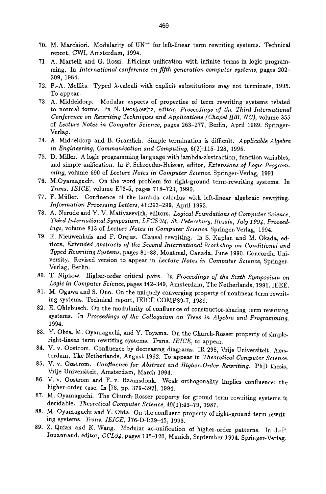- 70. M. Marchiori. Modularity of  $UN^-$  for left-linear term rewriting systems. Technical report, CWI, Amsterdam, 1994.
- 71. A. Martelli and G. Rossi. Efficient unification with infinite terms in logic programming. In *International conference on fifth generation computer systems,* pages 202- 209, 1984.
- 72. P.-A. Melliès. Typed  $\lambda$ -calculi with explicit substitutions may not terminate, 1995. To appear.
- 73. A. Middeldorp. Modular aspects of properties of term rewriting systems related to normal forms. In N. Dershowitz, editor, *Proceedings of the Third International Conference on Rewriting Techniques and Applications (Chapel Hill, NC),* volume 355 of *Lecture Notes in Computer Science,* pages 263-277, Berlin, April 1989. Springer-Verlag.
- 74. A. Middeldorp and B. Gramlich. Simple termination is difficult. *Applicable Algebra in Engineering, Communication and Computing,* 6(2):115-128, 1995.
- 75. D. Miller. A logic programming language with lambda-abstraction, function variables, and simple unification. In P. Schroeder-Heister, editor, *Extensions of Logic Programruing,* volume 690 of *Lecture Notes in Computer Science.* Springer-Verlag, 1991.
- 76. M.Oyamaguchi. On the word problem for right-ground term-rewriting systems. In *Trans. IEICE,* volume E73-5, pages 718-723, 1990.
- 77. F. Müller. Confluence of the lambda calculus with left-linear algebraic rewriting. *Information Processing Letters, 41:293-299, April 1992.*
- 78. A. Nerode and Y. V. Matiyasevich, editors. *Logical Foundations of Computer Science, Third International Symposium, LFCS'94, St. Petersburg, Russia, July 1994, Proceedings,* volume 813 of *Lecture Notes in Computer Science.* Springer-Verlag, 1994.
- 79. R. Nieuwenhuis and F. Orejas. Clausal rewriting. In S. Kaplan and M. Okada, editors, *Extended Abstracts of the Second International Workshop on Conditional and Typed Rewriting Systems,* pages 81-88, Montreal, Canada, June 1990. Concordia University. Revised version to appear in *Lecture Notes in Computer Science,* Springer-Verlag, Berlin.
- 80. T. Nipkow. Higher-order critical pairs. In *Proceedings of the Sixth Symposium on Logic in Computer Science,* pages 342-349, Amsterdam, The Netherlands, 1991. IEEE.
- 81. M. Ogawa and S. Ono. On the uniquely converging property of nonlinear term rewriting systems. Technical report, IEICE COMP89-7, 1989.
- 82. E. Ohlebusch. On the modularity of confluence of constructor-sharing term rewriting systems. In *Proceedings of the Colloquium on Trees in Algebra and Programming,*  1994.
- 83. Y. Ohta, M. Oyamaguchi, and Y. Toyama. On the Church-Rosser property of simpleright-linear term rewriting systems. *Trans. IEICE,* to appear.
- 84. V. v. Oostrom. Confluence by decreasing diagrams. IR 298, Vrije Universiteit, Amsterdam, The Netherlands, August 1992. To appear in *Theoretical Computer Science.*
- 85. V. v. Oostrom. *Confluence for Abstract and Higher-Order Rewriting.* PhD thesis, Vrije Universiteit, Amsterdam, March 1994.
- 86. V. v. Oostrom and F. v. Raamsdonk. Weak orthogonality implies confluence: the higher-order case. In [78, pp. 379-392], 1994.
- 87. M. Oyamaguchi. The Church-Rosser property for ground term rewriting systems is decidable. *Theoretical Computer Science,* 49(1):43-79, 1987.
- 88. M. Oyamaguchi and Y. Ohta. On the confluent property of right-ground term rewriting systems. *Trans. IEICE,* J76-D-I:39-45, 1993.
- 89. Z. Quian and K. Wang. Modular ac-unification of higher-order patterns. In J.-P. Jouannaud, editor, *CCL94*, pages 105-120, Munich, September 1994. Springer-Verlag.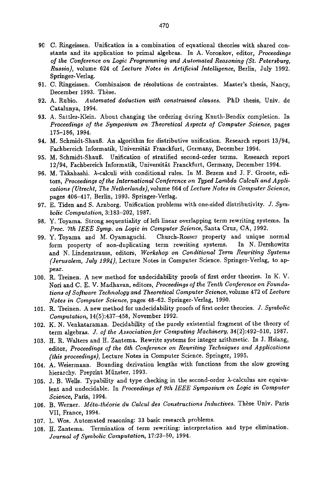- **9C** C. Ringeissen. Unification in a combination of equational theories with shared constants and its application to primal algebras. In A. Voronkov, editor, *Proceedings of the Conference on Logic Programming and Automated Reasoning (St. Petersburg, Russia),* volume 624 of *Lecture Notes in Artificial Intelligence,* Berlin, July 1992. Springer-Verlag.
- 91. C. Ringeissen. Combinaison de résolutions de contraintes. Master's thesis, Nancy, December 1993. Thèse.
- 92. A. Rubio. *Automated deduction with constrained clauses.* PhD thesis, Univ. de Catalunya, 1994.
- 93. A. Sattler-K]ein. About changing the ordering during Knnth-Bendix completion. In *Proceedings of the Symposium on Theoretical Aspects of Computer Science,* pages 175-186, 1994.
- 94. M. Schmidt-Shauß. An algorithm for distributive unification. Research report 13/94, Fachbereich Informatik, Universität Franckfurt, Germany, December 1994.
- 95. M. Schmidt-Shauß. Unification of stratified second-order terms. Research report 12/94, Fachbereich Informatik, Universits Franckfnrt, Germany, December 1994.
- 96. M. Takahashi.  $\lambda$ -calculi with conditional rules. In M. Bezem and J. F. Groote, editors, *Proceedings of the International Conference on Typed Lambda Calculi and Applications (Utrecht, The Netherlands),* volume 664 of *Lecture Notes in Computer Science,*  pages 406-417, Berlin, *1993.* Springer-Verlag.
- 97. E. Tiden and S. Arnborg. Unification problems with one-sided distributivity. *J. Symbolic Computation,* 3:183-202, 1987.
- 98. Y. Toyama. Strong sequentiality of left linear overlapping term rewriting systems. In *Proc. 7th IEEE Syrup. on Logic in Computer Science,* Santa Cruz, CA, 1992.
- 99. Y. Toyama and M. Oyamaguchi. Church-Rosser property and unique normal form property of non-duplicating term rewriting systems. In N. Dershowitz and N. Lindenstrauss, editors, *Workshop on Conditional Term Rewriting Systems (Jerusalem, July 1994),* Lecture Notes in Computer Science. Springer-Verlag, to appear.
- 100. R. Treinen. A new method for undecidability proofs of first order theories. In K. V. Nori and C. E. V. Madhavan, editors, *Proceedings of the Tenth Conference on Foundations of Software Technology and Theoretical Computer Science,* volume 472 of *Lecture Notes in Computer Science,* pages 48-62. Springer-Verlag, 1990.
- 101. R. Treinen. A new method for undecidability proofs of first order theories. *J. Symbolic Computation,* 14(5):437-458, November 1992.
- 102. K. N. Venkataraman. Decidability of the purely existential fragment of the theory of term algebras. *J. of the Association for Computing Machinery,* 34(2):492-510, 1987.
- 103. 1I. R. Waiters and H. Zantema. Rewrite systems for integer arithmetic. In J. Hsiang, editor, *Proceedings of the 6th Conference on Rewriting Techniques and Applications*  (this proceedings), Lecture Notes in Computer Science. Springer, 1995.
- 104. A. Weiermann. Bounding derivation lengths with functions from the slow growing hierarchy. Preprint Münster, 1993.
- 105. J. B. Wells. Typability and type checking in the second-order  $\lambda$ -calculus are equivalent and undecidable. In *Proceedings of 9th IEEE Symposium on Logic in Computer Science,* Paris, 1994.
- 106. B. Werner. *Méta-théorie du Calcul des Constructions Inductives*. Thèse Univ. Paris VII, France, 1994.
- 107. L. Wos. Automated reasoning: 33 basic research problems.
- 108. H. Zantema. Termination of term rewriting: interpretation and type elimination. *Journal of Symbolic Computation,* 17:23-50, 1994.